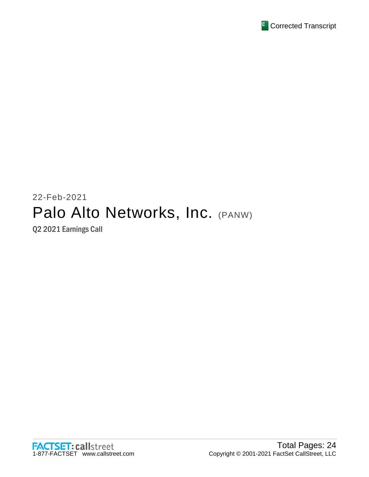

# 22-Feb-2021 Palo Alto Networks, Inc. (PANW)

Q2 2021 Earnings Call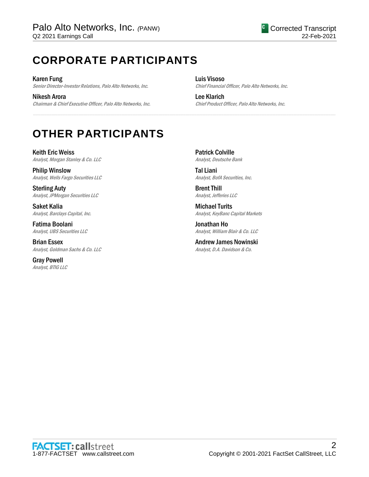# **CORPORATE PARTICIPANTS**

Karen Fung Senior Director-Investor Relations, Palo Alto Networks, Inc.

Nikesh Arora Chairman & Chief Executive Officer, Palo Alto Networks, Inc. Luis Visoso Chief Financial Officer, Palo Alto Networks, Inc.

Lee Klarich Chief Product Officer, Palo Alto Networks, Inc.

# **OTHER PARTICIPANTS**

Keith Eric Weiss Analyst, Morgan Stanley & Co. LLC

Philip Winslow Analyst, Wells Fargo Securities LLC

Sterling Auty Analyst, JPMorgan Securities LLC

Saket Kalia Analyst, Barclays Capital, Inc.

Fatima Boolani Analyst, UBS Securities LLC

Brian Essex Analyst, Goldman Sachs & Co. LLC

Gray Powell Analyst, BTIG LLC Patrick Colville Analyst, Deutsche Bank

......................................................................................................................................................................................................................................................

Tal Liani Analyst, BofA Securities, Inc.

Brent Thill Analyst, Jefferies LLC

Michael Turits Analyst, KeyBanc Capital Markets

Jonathan Ho Analyst, William Blair & Co. LLC

Andrew James Nowinski Analyst, D.A. Davidson & Co.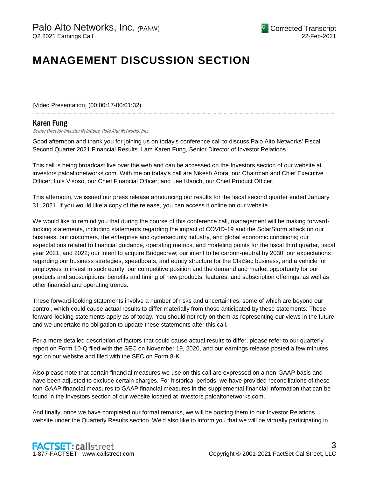# **MANAGEMENT DISCUSSION SECTION**

[Video Presentation] (00:00:17-00:01:32)

# Karen Fung

Senior Director-Investor Relations, Palo Alto Networks, Inc.

Good afternoon and thank you for joining us on today's conference call to discuss Palo Alto Networks' Fiscal Second Quarter 2021 Financial Results. I am Karen Fung, Senior Director of Investor Relations.

......................................................................................................................................................................................................................................................

This call is being broadcast live over the web and can be accessed on the Investors section of our website at investors.paloaltonetworks.com. With me on today's call are Nikesh Arora, our Chairman and Chief Executive Officer; Luis Visoso, our Chief Financial Officer; and Lee Klarich, our Chief Product Officer.

This afternoon, we issued our press release announcing our results for the fiscal second quarter ended January 31, 2021. If you would like a copy of the release, you can access it online on our website.

We would like to remind you that during the course of this conference call, management will be making forwardlooking statements, including statements regarding the impact of COVID-19 and the SolarStorm attack on our business, our customers, the enterprise and cybersecurity industry, and global economic conditions; our expectations related to financial guidance, operating metrics, and modeling points for the fiscal third quarter, fiscal year 2021, and 2022; our intent to acquire Bridgecrew; our intent to be carbon-neutral by 2030; our expectations regarding our business strategies, speedboats, and equity structure for the ClaiSec business, and a vehicle for employees to invest in such equity; our competitive position and the demand and market opportunity for our products and subscriptions, benefits and timing of new products, features, and subscription offerings, as well as other financial and operating trends.

These forward-looking statements involve a number of risks and uncertainties, some of which are beyond our control, which could cause actual results to differ materially from those anticipated by these statements. These forward-looking statements apply as of today. You should not rely on them as representing our views in the future, and we undertake no obligation to update these statements after this call.

For a more detailed description of factors that could cause actual results to differ, please refer to our quarterly report on Form 10-Q filed with the SEC on November 19, 2020, and our earnings release posted a few minutes ago on our website and filed with the SEC on Form 8-K.

Also please note that certain financial measures we use on this call are expressed on a non-GAAP basis and have been adjusted to exclude certain charges. For historical periods, we have provided reconciliations of these non-GAAP financial measures to GAAP financial measures in the supplemental financial information that can be found in the Investors section of our website located at investors.paloaltonetworks.com.

And finally, once we have completed our formal remarks, we will be posting them to our Investor Relations website under the Quarterly Results section. We'd also like to inform you that we will be virtually participating in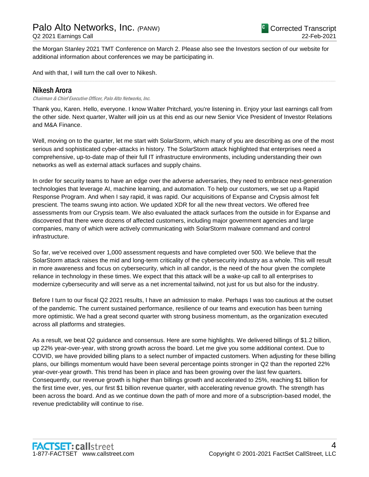the Morgan Stanley 2021 TMT Conference on March 2. Please also see the Investors section of our website for additional information about conferences we may be participating in.

......................................................................................................................................................................................................................................................

And with that, I will turn the call over to Nikesh.

# Nikesh Arora

Chairman & Chief Executive Officer, Palo Alto Networks, Inc.

Thank you, Karen. Hello, everyone. I know Walter Pritchard, you're listening in. Enjoy your last earnings call from the other side. Next quarter, Walter will join us at this end as our new Senior Vice President of Investor Relations and M&A Finance.

Well, moving on to the quarter, let me start with SolarStorm, which many of you are describing as one of the most serious and sophisticated cyber-attacks in history. The SolarStorm attack highlighted that enterprises need a comprehensive, up-to-date map of their full IT infrastructure environments, including understanding their own networks as well as external attack surfaces and supply chains.

In order for security teams to have an edge over the adverse adversaries, they need to embrace next-generation technologies that leverage AI, machine learning, and automation. To help our customers, we set up a Rapid Response Program. And when I say rapid, it was rapid. Our acquisitions of Expanse and Crypsis almost felt prescient. The teams swung into action. We updated XDR for all the new threat vectors. We offered free assessments from our Crypsis team. We also evaluated the attack surfaces from the outside in for Expanse and discovered that there were dozens of affected customers, including major government agencies and large companies, many of which were actively communicating with SolarStorm malware command and control infrastructure.

So far, we've received over 1,000 assessment requests and have completed over 500. We believe that the SolarStorm attack raises the mid and long-term criticality of the cybersecurity industry as a whole. This will result in more awareness and focus on cybersecurity, which in all candor, is the need of the hour given the complete reliance in technology in these times. We expect that this attack will be a wake-up call to all enterprises to modernize cybersecurity and will serve as a net incremental tailwind, not just for us but also for the industry.

Before I turn to our fiscal Q2 2021 results, I have an admission to make. Perhaps I was too cautious at the outset of the pandemic. The current sustained performance, resilience of our teams and execution has been turning more optimistic. We had a great second quarter with strong business momentum, as the organization executed across all platforms and strategies.

As a result, we beat Q2 guidance and consensus. Here are some highlights. We delivered billings of \$1.2 billion, up 22% year-over-year, with strong growth across the board. Let me give you some additional context. Due to COVID, we have provided billing plans to a select number of impacted customers. When adjusting for these billing plans, our billings momentum would have been several percentage points stronger in Q2 than the reported 22% year-over-year growth. This trend has been in place and has been growing over the last few quarters. Consequently, our revenue growth is higher than billings growth and accelerated to 25%, reaching \$1 billion for the first time ever, yes, our first \$1 billion revenue quarter, with accelerating revenue growth. The strength has been across the board. And as we continue down the path of more and more of a subscription-based model, the revenue predictability will continue to rise.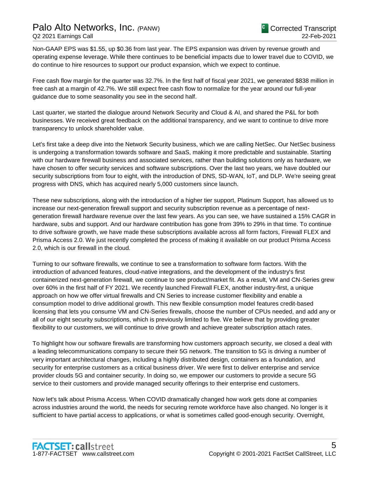# Palo Alto Networks, Inc. *(*PANW)

Q2 2021 Earnings Call

Non-GAAP EPS was \$1.55, up \$0.36 from last year. The EPS expansion was driven by revenue growth and operating expense leverage. While there continues to be beneficial impacts due to lower travel due to COVID, we do continue to hire resources to support our product expansion, which we expect to continue.

Free cash flow margin for the quarter was 32.7%. In the first half of fiscal year 2021, we generated \$838 million in free cash at a margin of 42.7%. We still expect free cash flow to normalize for the year around our full-year guidance due to some seasonality you see in the second half.

Last quarter, we started the dialogue around Network Security and Cloud & AI, and shared the P&L for both businesses. We received great feedback on the additional transparency, and we want to continue to drive more transparency to unlock shareholder value.

Let's first take a deep dive into the Network Security business, which we are calling NetSec. Our NetSec business is undergoing a transformation towards software and SaaS, making it more predictable and sustainable. Starting with our hardware firewall business and associated services, rather than building solutions only as hardware, we have chosen to offer security services and software subscriptions. Over the last two years, we have doubled our security subscriptions from four to eight, with the introduction of DNS, SD-WAN, IoT, and DLP. We're seeing great progress with DNS, which has acquired nearly 5,000 customers since launch.

These new subscriptions, along with the introduction of a higher tier support, Platinum Support, has allowed us to increase our next-generation firewall support and security subscription revenue as a percentage of nextgeneration firewall hardware revenue over the last few years. As you can see, we have sustained a 15% CAGR in hardware, subs and support. And our hardware contribution has gone from 39% to 29% in that time. To continue to drive software growth, we have made these subscriptions available across all form factors, Firewall FLEX and Prisma Access 2.0. We just recently completed the process of making it available on our product Prisma Access 2.0, which is our firewall in the cloud.

Turning to our software firewalls, we continue to see a transformation to software form factors. With the introduction of advanced features, cloud-native integrations, and the development of the industry's first containerized next-generation firewall, we continue to see product/market fit. As a result, VM and CN-Series grew over 60% in the first half of FY 2021. We recently launched Firewall FLEX, another industry-first, a unique approach on how we offer virtual firewalls and CN Series to increase customer flexibility and enable a consumption model to drive additional growth. This new flexible consumption model features credit-based licensing that lets you consume VM and CN-Series firewalls, choose the number of CPUs needed, and add any or all of our eight security subscriptions, which is previously limited to five. We believe that by providing greater flexibility to our customers, we will continue to drive growth and achieve greater subscription attach rates.

To highlight how our software firewalls are transforming how customers approach security, we closed a deal with a leading telecommunications company to secure their 5G network. The transition to 5G is driving a number of very important architectural changes, including a highly distributed design, containers as a foundation, and security for enterprise customers as a critical business driver. We were first to deliver enterprise and service provider clouds 5G and container security. In doing so, we empower our customers to provide a secure 5G service to their customers and provide managed security offerings to their enterprise end customers.

Now let's talk about Prisma Access. When COVID dramatically changed how work gets done at companies across industries around the world, the needs for securing remote workforce have also changed. No longer is it sufficient to have partial access to applications, or what is sometimes called good-enough security. Overnight,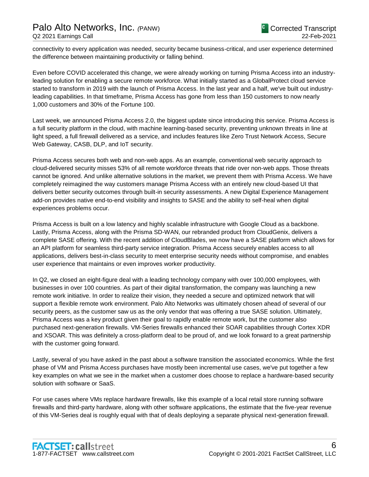connectivity to every application was needed, security became business-critical, and user experience determined the difference between maintaining productivity or falling behind.

Even before COVID accelerated this change, we were already working on turning Prisma Access into an industryleading solution for enabling a secure remote workforce. What initially started as a GlobalProtect cloud service started to transform in 2019 with the launch of Prisma Access. In the last year and a half, we've built out industryleading capabilities. In that timeframe, Prisma Access has gone from less than 150 customers to now nearly 1,000 customers and 30% of the Fortune 100.

Last week, we announced Prisma Access 2.0, the biggest update since introducing this service. Prisma Access is a full security platform in the cloud, with machine learning-based security, preventing unknown threats in line at light speed, a full firewall delivered as a service, and includes features like Zero Trust Network Access, Secure Web Gateway, CASB, DLP, and IoT security.

Prisma Access secures both web and non-web apps. As an example, conventional web security approach to cloud-delivered security misses 53% of all remote workforce threats that ride over non-web apps. Those threats cannot be ignored. And unlike alternative solutions in the market, we prevent them with Prisma Access. We have completely reimagined the way customers manage Prisma Access with an entirely new cloud-based UI that delivers better security outcomes through built-in security assessments. A new Digital Experience Management add-on provides native end-to-end visibility and insights to SASE and the ability to self-heal when digital experiences problems occur.

Prisma Access is built on a low latency and highly scalable infrastructure with Google Cloud as a backbone. Lastly, Prisma Access, along with the Prisma SD-WAN, our rebranded product from CloudGenix, delivers a complete SASE offering. With the recent addition of CloudBlades, we now have a SASE platform which allows for an API platform for seamless third-party service integration. Prisma Access securely enables access to all applications, delivers best-in-class security to meet enterprise security needs without compromise, and enables user experience that maintains or even improves worker productivity.

In Q2, we closed an eight-figure deal with a leading technology company with over 100,000 employees, with businesses in over 100 countries. As part of their digital transformation, the company was launching a new remote work initiative. In order to realize their vision, they needed a secure and optimized network that will support a flexible remote work environment. Palo Alto Networks was ultimately chosen ahead of several of our security peers, as the customer saw us as the only vendor that was offering a true SASE solution. Ultimately, Prisma Access was a key product given their goal to rapidly enable remote work, but the customer also purchased next-generation firewalls. VM-Series firewalls enhanced their SOAR capabilities through Cortex XDR and XSOAR. This was definitely a cross-platform deal to be proud of, and we look forward to a great partnership with the customer going forward.

Lastly, several of you have asked in the past about a software transition the associated economics. While the first phase of VM and Prisma Access purchases have mostly been incremental use cases, we've put together a few key examples on what we see in the market when a customer does choose to replace a hardware-based security solution with software or SaaS.

For use cases where VMs replace hardware firewalls, like this example of a local retail store running software firewalls and third-party hardware, along with other software applications, the estimate that the five-year revenue of this VM-Series deal is roughly equal with that of deals deploying a separate physical next-generation firewall.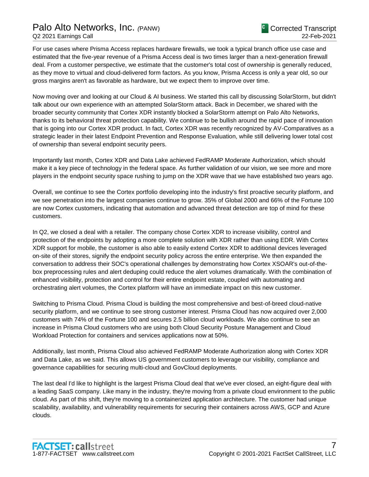For use cases where Prisma Access replaces hardware firewalls, we took a typical branch office use case and estimated that the five-year revenue of a Prisma Access deal is two times larger than a next-generation firewall deal. From a customer perspective, we estimate that the customer's total cost of ownership is generally reduced, as they move to virtual and cloud-delivered form factors. As you know, Prisma Access is only a year old, so our gross margins aren't as favorable as hardware, but we expect them to improve over time.

Now moving over and looking at our Cloud & AI business. We started this call by discussing SolarStorm, but didn't talk about our own experience with an attempted SolarStorm attack. Back in December, we shared with the broader security community that Cortex XDR instantly blocked a SolarStorm attempt on Palo Alto Networks, thanks to its behavioral threat protection capability. We continue to be bullish around the rapid pace of innovation that is going into our Cortex XDR product. In fact, Cortex XDR was recently recognized by AV-Comparatives as a strategic leader in their latest Endpoint Prevention and Response Evaluation, while still delivering lower total cost of ownership than several endpoint security peers.

Importantly last month, Cortex XDR and Data Lake achieved FedRAMP Moderate Authorization, which should make it a key piece of technology in the federal space. As further validation of our vision, we see more and more players in the endpoint security space rushing to jump on the XDR wave that we have established two years ago.

Overall, we continue to see the Cortex portfolio developing into the industry's first proactive security platform, and we see penetration into the largest companies continue to grow. 35% of Global 2000 and 66% of the Fortune 100 are now Cortex customers, indicating that automation and advanced threat detection are top of mind for these customers.

In Q2, we closed a deal with a retailer. The company chose Cortex XDR to increase visibility, control and protection of the endpoints by adopting a more complete solution with XDR rather than using EDR. With Cortex XDR support for mobile, the customer is also able to easily extend Cortex XDR to additional devices leveraged on-site of their stores, signify the endpoint security policy across the entire enterprise. We then expanded the conversation to address their SOC's operational challenges by demonstrating how Cortex XSOAR's out-of-thebox preprocessing rules and alert deduping could reduce the alert volumes dramatically. With the combination of enhanced visibility, protection and control for their entire endpoint estate, coupled with automating and orchestrating alert volumes, the Cortex platform will have an immediate impact on this new customer.

Switching to Prisma Cloud. Prisma Cloud is building the most comprehensive and best-of-breed cloud-native security platform, and we continue to see strong customer interest. Prisma Cloud has now acquired over 2,000 customers with 74% of the Fortune 100 and secures 2.5 billion cloud workloads. We also continue to see an increase in Prisma Cloud customers who are using both Cloud Security Posture Management and Cloud Workload Protection for containers and services applications now at 50%.

Additionally, last month, Prisma Cloud also achieved FedRAMP Moderate Authorization along with Cortex XDR and Data Lake, as we said. This allows US government customers to leverage our visibility, compliance and governance capabilities for securing multi-cloud and GovCloud deployments.

The last deal I'd like to highlight is the largest Prisma Cloud deal that we've ever closed, an eight-figure deal with a leading SaaS company. Like many in the industry, they're moving from a private cloud environment to the public cloud. As part of this shift, they're moving to a containerized application architecture. The customer had unique scalability, availability, and vulnerability requirements for securing their containers across AWS, GCP and Azure clouds.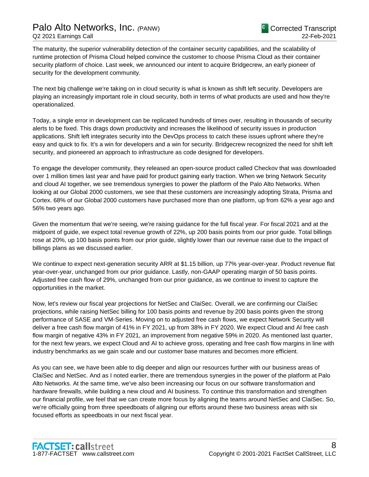The maturity, the superior vulnerability detection of the container security capabilities, and the scalability of runtime protection of Prisma Cloud helped convince the customer to choose Prisma Cloud as their container security platform of choice. Last week, we announced our intent to acquire Bridgecrew, an early pioneer of security for the development community.

The next big challenge we're taking on in cloud security is what is known as shift left security. Developers are playing an increasingly important role in cloud security, both in terms of what products are used and how they're operationalized.

Today, a single error in development can be replicated hundreds of times over, resulting in thousands of security alerts to be fixed. This drags down productivity and increases the likelihood of security issues in production applications. Shift left integrates security into the DevOps process to catch these issues upfront where they're easy and quick to fix. It's a win for developers and a win for security. Bridgecrew recognized the need for shift left security, and pioneered an approach to infrastructure as code designed for developers.

To engage the developer community, they released an open-source product called Checkov that was downloaded over 1 million times last year and have paid for product gaining early traction. When we bring Network Security and cloud AI together, we see tremendous synergies to power the platform of the Palo Alto Networks. When looking at our Global 2000 customers, we see that these customers are increasingly adopting Strata, Prisma and Cortex. 68% of our Global 2000 customers have purchased more than one platform, up from 62% a year ago and 56% two years ago.

Given the momentum that we're seeing, we're raising guidance for the full fiscal year. For fiscal 2021 and at the midpoint of guide, we expect total revenue growth of 22%, up 200 basis points from our prior guide. Total billings rose at 20%, up 100 basis points from our prior guide, slightly lower than our revenue raise due to the impact of billings plans as we discussed earlier.

We continue to expect next-generation security ARR at \$1.15 billion, up 77% year-over-year. Product revenue flat year-over-year, unchanged from our prior guidance. Lastly, non-GAAP operating margin of 50 basis points. Adjusted free cash flow of 29%, unchanged from our prior guidance, as we continue to invest to capture the opportunities in the market.

Now, let's review our fiscal year projections for NetSec and ClaiSec. Overall, we are confirming our ClaiSec projections, while raising NetSec billing for 100 basis points and revenue by 200 basis points given the strong performance of SASE and VM-Series. Moving on to adjusted free cash flows, we expect Network Security will deliver a free cash flow margin of 41% in FY 2021, up from 38% in FY 2020. We expect Cloud and AI free cash flow margin of negative 43% in FY 2021, an improvement from negative 59% in 2020. As mentioned last quarter, for the next few years, we expect Cloud and AI to achieve gross, operating and free cash flow margins in line with industry benchmarks as we gain scale and our customer base matures and becomes more efficient.

As you can see, we have been able to dig deeper and align our resources further with our business areas of ClaiSec and NetSec. And as I noted earlier, there are tremendous synergies in the power of the platform at Palo Alto Networks. At the same time, we've also been increasing our focus on our software transformation and hardware firewalls, while building a new cloud and AI business. To continue this transformation and strengthen our financial profile, we feel that we can create more focus by aligning the teams around NetSec and ClaiSec. So, we're officially going from three speedboats of aligning our efforts around these two business areas with six focused efforts as speedboats in our next fiscal year.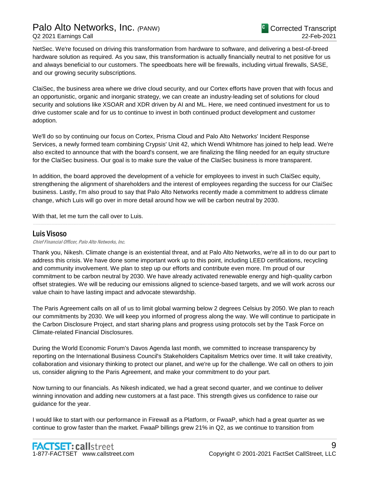NetSec. We're focused on driving this transformation from hardware to software, and delivering a best-of-breed hardware solution as required. As you saw, this transformation is actually financially neutral to net positive for us and always beneficial to our customers. The speedboats here will be firewalls, including virtual firewalls, SASE, and our growing security subscriptions.

ClaiSec, the business area where we drive cloud security, and our Cortex efforts have proven that with focus and an opportunistic, organic and inorganic strategy, we can create an industry-leading set of solutions for cloud security and solutions like XSOAR and XDR driven by AI and ML. Here, we need continued investment for us to drive customer scale and for us to continue to invest in both continued product development and customer adoption.

We'll do so by continuing our focus on Cortex, Prisma Cloud and Palo Alto Networks' Incident Response Services, a newly formed team combining Crypsis' Unit 42, which Wendi Whitmore has joined to help lead. We're also excited to announce that with the board's consent, we are finalizing the filing needed for an equity structure for the ClaiSec business. Our goal is to make sure the value of the ClaiSec business is more transparent.

In addition, the board approved the development of a vehicle for employees to invest in such ClaiSec equity, strengthening the alignment of shareholders and the interest of employees regarding the success for our ClaiSec business. Lastly, I'm also proud to say that Palo Alto Networks recently made a commitment to address climate change, which Luis will go over in more detail around how we will be carbon neutral by 2030.

......................................................................................................................................................................................................................................................

With that, let me turn the call over to Luis.

# Luis Visoso

Chief Financial Officer, Palo Alto Networks, Inc.

Thank you, Nikesh. Climate change is an existential threat, and at Palo Alto Networks, we're all in to do our part to address this crisis. We have done some important work up to this point, including LEED certifications, recycling and community involvement. We plan to step up our efforts and contribute even more. I'm proud of our commitment to be carbon neutral by 2030. We have already activated renewable energy and high-quality carbon offset strategies. We will be reducing our emissions aligned to science-based targets, and we will work across our value chain to have lasting impact and advocate stewardship.

The Paris Agreement calls on all of us to limit global warming below 2 degrees Celsius by 2050. We plan to reach our commitments by 2030. We will keep you informed of progress along the way. We will continue to participate in the Carbon Disclosure Project, and start sharing plans and progress using protocols set by the Task Force on Climate-related Financial Disclosures.

During the World Economic Forum's Davos Agenda last month, we committed to increase transparency by reporting on the International Business Council's Stakeholders Capitalism Metrics over time. It will take creativity, collaboration and visionary thinking to protect our planet, and we're up for the challenge. We call on others to join us, consider aligning to the Paris Agreement, and make your commitment to do your part.

Now turning to our financials. As Nikesh indicated, we had a great second quarter, and we continue to deliver winning innovation and adding new customers at a fast pace. This strength gives us confidence to raise our guidance for the year.

I would like to start with our performance in Firewall as a Platform, or FwaaP, which had a great quarter as we continue to grow faster than the market. FwaaP billings grew 21% in Q2, as we continue to transition from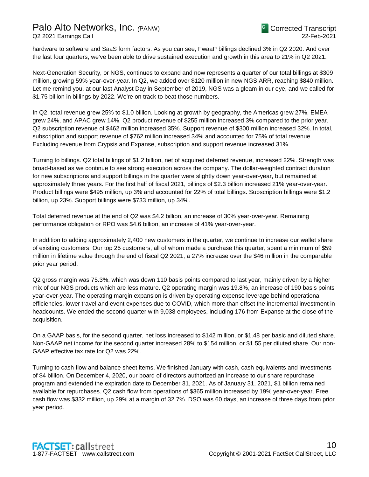hardware to software and SaaS form factors. As you can see, FwaaP billings declined 3% in Q2 2020. And over the last four quarters, we've been able to drive sustained execution and growth in this area to 21% in Q2 2021.

Next-Generation Security, or NGS, continues to expand and now represents a quarter of our total billings at \$309 million, growing 59% year-over-year. In Q2, we added over \$120 million in new NGS ARR, reaching \$840 million. Let me remind you, at our last Analyst Day in September of 2019, NGS was a gleam in our eye, and we called for \$1.75 billion in billings by 2022. We're on track to beat those numbers.

In Q2, total revenue grew 25% to \$1.0 billion. Looking at growth by geography, the Americas grew 27%, EMEA grew 24%, and APAC grew 14%. Q2 product revenue of \$255 million increased 3% compared to the prior year. Q2 subscription revenue of \$462 million increased 35%. Support revenue of \$300 million increased 32%. In total, subscription and support revenue of \$762 million increased 34% and accounted for 75% of total revenue. Excluding revenue from Crypsis and Expanse, subscription and support revenue increased 31%.

Turning to billings. Q2 total billings of \$1.2 billion, net of acquired deferred revenue, increased 22%. Strength was broad-based as we continue to see strong execution across the company. The dollar-weighted contract duration for new subscriptions and support billings in the quarter were slightly down year-over-year, but remained at approximately three years. For the first half of fiscal 2021, billings of \$2.3 billion increased 21% year-over-year. Product billings were \$495 million, up 3% and accounted for 22% of total billings. Subscription billings were \$1.2 billion, up 23%. Support billings were \$733 million, up 34%.

Total deferred revenue at the end of Q2 was \$4.2 billion, an increase of 30% year-over-year. Remaining performance obligation or RPO was \$4.6 billion, an increase of 41% year-over-year.

In addition to adding approximately 2,400 new customers in the quarter, we continue to increase our wallet share of existing customers. Our top 25 customers, all of whom made a purchase this quarter, spent a minimum of \$59 million in lifetime value through the end of fiscal Q2 2021, a 27% increase over the \$46 million in the comparable prior year period.

Q2 gross margin was 75.3%, which was down 110 basis points compared to last year, mainly driven by a higher mix of our NGS products which are less mature. Q2 operating margin was 19.8%, an increase of 190 basis points year-over-year. The operating margin expansion is driven by operating expense leverage behind operational efficiencies, lower travel and event expenses due to COVID, which more than offset the incremental investment in headcounts. We ended the second quarter with 9,038 employees, including 176 from Expanse at the close of the acquisition.

On a GAAP basis, for the second quarter, net loss increased to \$142 million, or \$1.48 per basic and diluted share. Non-GAAP net income for the second quarter increased 28% to \$154 million, or \$1.55 per diluted share. Our non-GAAP effective tax rate for Q2 was 22%.

Turning to cash flow and balance sheet items. We finished January with cash, cash equivalents and investments of \$4 billion. On December 4, 2020, our board of directors authorized an increase to our share repurchase program and extended the expiration date to December 31, 2021. As of January 31, 2021, \$1 billion remained available for repurchases. Q2 cash flow from operations of \$365 million increased by 19% year-over-year. Free cash flow was \$332 million, up 29% at a margin of 32.7%. DSO was 60 days, an increase of three days from prior year period.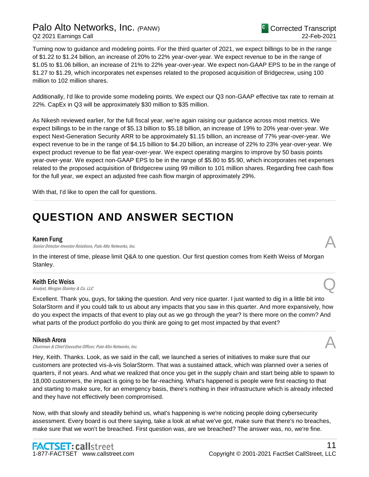Turning now to guidance and modeling points. For the third quarter of 2021, we expect billings to be in the range of \$1.22 to \$1.24 billion, an increase of 20% to 22% year-over-year. We expect revenue to be in the range of \$1.05 to \$1.06 billion, an increase of 21% to 22% year-over-year. We expect non-GAAP EPS to be in the range of \$1.27 to \$1.29, which incorporates net expenses related to the proposed acquisition of Bridgecrew, using 100 million to 102 million shares.

Additionally, I'd like to provide some modeling points. We expect our Q3 non-GAAP effective tax rate to remain at 22%. CapEx in Q3 will be approximately \$30 million to \$35 million.

As Nikesh reviewed earlier, for the full fiscal year, we're again raising our guidance across most metrics. We expect billings to be in the range of \$5.13 billion to \$5.18 billion, an increase of 19% to 20% year-over-year. We expect Next-Generation Security ARR to be approximately \$1.15 billion, an increase of 77% year-over-year. We expect revenue to be in the range of \$4.15 billion to \$4.20 billion, an increase of 22% to 23% year-over-year. We expect product revenue to be flat year-over-year. We expect operating margins to improve by 50 basis points year-over-year. We expect non-GAAP EPS to be in the range of \$5.80 to \$5.90, which incorporates net expenses related to the proposed acquisition of Bridgecrew using 99 million to 101 million shares. Regarding free cash flow for the full year, we expect an adjusted free cash flow margin of approximately 29%.

......................................................................................................................................................................................................................................................

With that, I'd like to open the call for questions.

# **QUESTION AND ANSWER SECTION**

#### Karen Fung

Senior Director-Investor Relations, Palo Alto Networks, Inc.

In the interest of time, please limit Q&A to one question. Our first question comes from Keith Weiss of Morgan Stanley.

......................................................................................................................................................................................................................................................

**Keith Eric Weiss**<br>Analyst, Morgan Stanley & Co. LLC **Keith Eric Weiss**<br>Analyst, Morgan Stanley & Co. LLC  $\bigotimes$ 

Excellent. Thank you, guys, for taking the question. And very nice quarter. I just wanted to dig in a little bit into SolarStorm and if you could talk to us about any impacts that you saw in this quarter. And more expansively, how do you expect the impacts of that event to play out as we go through the year? Is there more on the comm? And what parts of the product portfolio do you think are going to get most impacted by that event?

......................................................................................................................................................................................................................................................

#### Nikesh Arora

Chairman & Chief Executive Officer, Palo Alto Networks, Inc.

Hey, Keith. Thanks. Look, as we said in the call, we launched a series of initiatives to make sure that our customers are protected vis-à-vis SolarStorm. That was a sustained attack, which was planned over a series of quarters, if not years. And what we realized that once you get in the supply chain and start being able to spawn to 18,000 customers, the impact is going to be far-reaching. What's happened is people were first reacting to that and starting to make sure, for an emergency basis, there's nothing in their infrastructure which is already infected and they have not effectively been compromised.

Now, with that slowly and steadily behind us, what's happening is we're noticing people doing cybersecurity assessment. Every board is out there saying, take a look at what we've got, make sure that there's no breaches, make sure that we won't be breached. First question was, are we breached? The answer was, no, we're fine.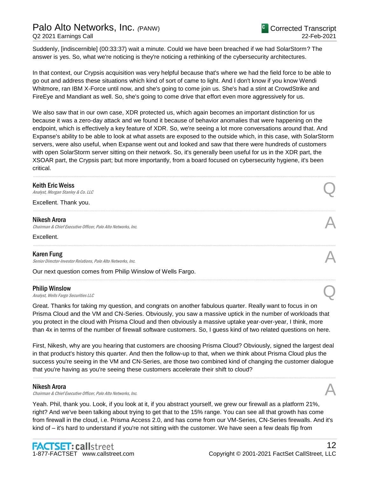# Palo Alto Networks, Inc. *(*PANW)

Suddenly, [indiscernible] (00:33:37) wait a minute. Could we have been breached if we had SolarStorm? The answer is yes. So, what we're noticing is they're noticing a rethinking of the cybersecurity architectures.

In that context, our Crypsis acquisition was very helpful because that's where we had the field force to be able to go out and address these situations which kind of sort of came to light. And I don't know if you know Wendi Whitmore, ran IBM X-Force until now, and she's going to come join us. She's had a stint at CrowdStrike and FireEye and Mandiant as well. So, she's going to come drive that effort even more aggressively for us.

We also saw that in our own case, XDR protected us, which again becomes an important distinction for us because it was a zero-day attack and we found it because of behavior anomalies that were happening on the endpoint, which is effectively a key feature of XDR. So, we're seeing a lot more conversations around that. And Expanse's ability to be able to look at what assets are exposed to the outside which, in this case, with SolarStorm servers, were also useful, when Expanse went out and looked and saw that there were hundreds of customers with open SolarStorm server sitting on their network. So, it's generally been useful for us in the XDR part, the XSOAR part, the Crypsis part; but more importantly, from a board focused on cybersecurity hygiene, it's been critical.

......................................................................................................................................................................................................................................................

......................................................................................................................................................................................................................................................

......................................................................................................................................................................................................................................................

......................................................................................................................................................................................................................................................

## Keith Eric Weiss

**Keith Eric Weiss**<br>Analyst, Morgan Stanley & Co. LLC  $\bigotimes$ 

Excellent. Thank you.

#### Nikesh Arora

Chairman & Chief Executive Officer, Palo Alto Networks, Inc.

**Excellent** 

# Karen Fung

Senior Director-Investor Relations, Palo Alto Networks, Inc.

Our next question comes from Philip Winslow of Wells Fargo.

#### Philip Winslow

**Philip Winslow**<br>Analyst, Wells Fargo Securities LLC

Great. Thanks for taking my question, and congrats on another fabulous quarter. Really want to focus in on Prisma Cloud and the VM and CN-Series. Obviously, you saw a massive uptick in the number of workloads that you protect in the cloud with Prisma Cloud and then obviously a massive uptake year-over-year, I think, more than 4x in terms of the number of firewall software customers. So, I guess kind of two related questions on here.

First, Nikesh, why are you hearing that customers are choosing Prisma Cloud? Obviously, signed the largest deal in that product's history this quarter. And then the follow-up to that, when we think about Prisma Cloud plus the success you're seeing in the VM and CN-Series, are those two combined kind of changing the customer dialogue that you're having as you're seeing these customers accelerate their shift to cloud?

......................................................................................................................................................................................................................................................

#### Nikesh Arora

Chairman & Chief Executive Officer, Palo Alto Networks, Inc.

Yeah. Phil, thank you. Look, if you look at it, if you abstract yourself, we grew our firewall as a platform 21%, right? And we've been talking about trying to get that to the 15% range. You can see all that growth has come from firewall in the cloud, i.e. Prisma Access 2.0, and has come from our VM-Series, CN-Series firewalls. And it's kind of – it's hard to understand if you're not sitting with the customer. We have seen a few deals flip from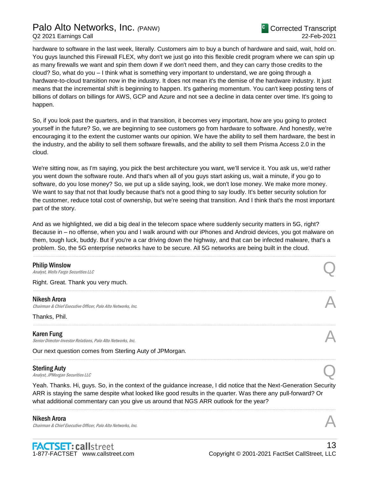hardware to software in the last week, literally. Customers aim to buy a bunch of hardware and said, wait, hold on. You guys launched this Firewall FLEX, why don't we just go into this flexible credit program where we can spin up as many firewalls we want and spin them down if we don't need them, and they can carry those credits to the cloud? So, what do you – I think what is something very important to understand, we are going through a hardware-to-cloud transition now in the industry. It does not mean it's the demise of the hardware industry. It just means that the incremental shift is beginning to happen. It's gathering momentum. You can't keep posting tens of billions of dollars on billings for AWS, GCP and Azure and not see a decline in data center over time. It's going to happen.

So, if you look past the quarters, and in that transition, it becomes very important, how are you going to protect yourself in the future? So, we are beginning to see customers go from hardware to software. And honestly, we're encouraging it to the extent the customer wants our opinion. We have the ability to sell them hardware, the best in the industry, and the ability to sell them software firewalls, and the ability to sell them Prisma Access 2.0 in the cloud.

We're sitting now, as I'm saying, you pick the best architecture you want, we'll service it. You ask us, we'd rather you went down the software route. And that's when all of you guys start asking us, wait a minute, if you go to software, do you lose money? So, we put up a slide saying, look, we don't lose money. We make more money. We want to say that not that loudly because that's not a good thing to say loudly. It's better security solution for the customer, reduce total cost of ownership, but we're seeing that transition. And I think that's the most important part of the story.

And as we highlighted, we did a big deal in the telecom space where suddenly security matters in 5G, right? Because in – no offense, when you and I walk around with our iPhones and Android devices, you got malware on them, tough luck, buddy. But if you're a car driving down the highway, and that can be infected malware, that's a problem. So, the 5G enterprise networks have to be secure. All 5G networks are being built in the cloud.

......................................................................................................................................................................................................................................................

| Analyst, Wells Fargo Securities LLC                                                                                                                                                                                                                                                                                         |  |
|-----------------------------------------------------------------------------------------------------------------------------------------------------------------------------------------------------------------------------------------------------------------------------------------------------------------------------|--|
| Right. Great. Thank you very much.                                                                                                                                                                                                                                                                                          |  |
| Nikesh Arora<br>Chairman & Chief Executive Officer, Palo Alto Networks, Inc.                                                                                                                                                                                                                                                |  |
| Thanks, Phil.                                                                                                                                                                                                                                                                                                               |  |
| Karen Fung<br>Senior Director-Investor Relations, Palo Alto Networks, Inc.                                                                                                                                                                                                                                                  |  |
| Our next question comes from Sterling Auty of JPMorgan.                                                                                                                                                                                                                                                                     |  |
| Sterling Auty<br>Analyst, JPMorgan Securities LLC                                                                                                                                                                                                                                                                           |  |
| Yeah. Thanks. Hi, guys. So, in the context of the guidance increase, I did notice that the Next-Generation Security<br>ARR is staying the same despite what looked like good results in the quarter. Was there any pull-forward? Or<br>what additional commentary can you give us around that NGS ARR outlook for the year? |  |

Nikesh Arora

Chairman & Chief Executive Officer, Palo Alto Networks, Inc.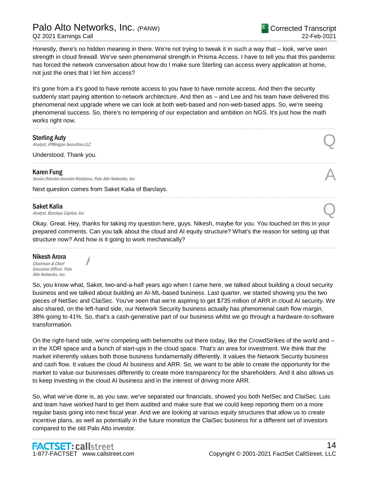Honestly, there's no hidden meaning in there. We're not trying to tweak it in such a way that – look, we've seen strength in cloud firewall. We've seen phenomenal strength in Prisma Access. I have to tell you that this pandemic has forced the network conversation about how do I make sure Sterling can access every application at home, not just the ones that I let him access?

It's gone from a it's good to have remote access to you have to have remote access. And then the security suddenly start paying attention to network architecture. And then as – and Lee and his team have delivered this phenomenal next upgrade where we can look at both web-based and non-web-based apps. So, we're seeing phenomenal success. So, there's no tempering of our expectation and ambition on NGS. It's just how the math works right now.

......................................................................................................................................................................................................................................................

......................................................................................................................................................................................................................................................

......................................................................................................................................................................................................................................................

## Sterling Auty

Sterling Auty  $\bigodot$ <br>Analyst, JPMorgan Securities LLC

Understood. Thank you.

# Karen Fung

Senior Director-Investor Relations, Palo Alto Networks, Inc.

Next question comes from Saket Kalia of Barclays.

A

# Saket Kalia

Saket Kalia  $A_{nab}$ st, Barclays Capital, Inc.  $\bigodot$ 

Okay. Great. Hey, thanks for taking my question here, guys. Nikesh, maybe for you. You touched on this in your prepared comments. Can you talk about the cloud and AI equity structure? What's the reason for setting up that structure now? And how is it going to work mechanically?

......................................................................................................................................................................................................................................................

# Nikesh Arora

Chairman & Chief Executive Officer, Palo Alto Networks, Inc.

So, you know what, Saket, two-and-a-half years ago when I came here, we talked about building a cloud security business and we talked about building an AI-ML-based business. Last quarter, we started showing you the two pieces of NetSec and ClaiSec. You've seen that we're aspiring to get \$735 million of ARR in cloud AI security. We also shared, on the left-hand side, our Network Security business actually has phenomenal cash flow margin, 38% going to 41%. So, that's a cash-generative part of our business whilst we go through a hardware-to-software transformation.

On the right-hand side, we're competing with behemoths out there today, like the CrowdStrikes of the world and – in the XDR space and a bunch of start-ups in the cloud space. That's an area for investment. We think that the market inherently values both those business fundamentally differently. It values the Network Security business and cash flow. It values the cloud AI business and ARR. So, we want to be able to create the opportunity for the market to value our businesses differently to create more transparency for the shareholders. And it also allows us to keep investing in the cloud AI business and in the interest of driving more ARR.

So, what we've done is, as you saw, we've separated our financials, showed you both NetSec and ClaiSec. Luis and team have worked hard to get them audited and make sure that we could keep reporting them on a more regular basis going into next fiscal year. And we are looking at various equity structures that allow us to create incentive plans, as well as potentially in the future monetize the ClaiSec business for a different set of investors compared to the old Palo Alto investor.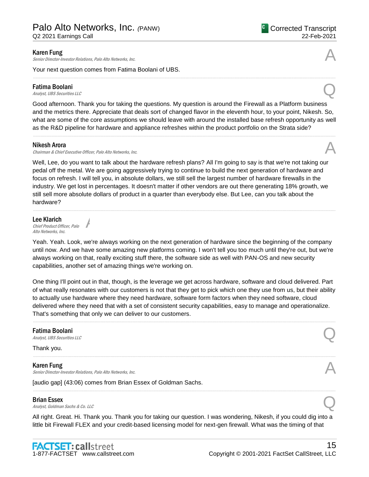Senior Director-Investor Relations, Palo Alto Networks, Inc.

Your next question comes from Fatima Boolani of UBS.

# Fatima Boolani **Fatima Boolani**<br>Analyst, UBS Securities LLC

Good afternoon. Thank you for taking the questions. My question is around the Firewall as a Platform business and the metrics there. Appreciate that deals sort of changed flavor in the eleventh hour, to your point, Nikesh. So, what are some of the core assumptions we should leave with around the installed base refresh opportunity as well as the R&D pipeline for hardware and appliance refreshes within the product portfolio on the Strata side?

......................................................................................................................................................................................................................................................

#### Nikesh Arora

Chairman & Chief Executive Officer, Palo Alto Networks, Inc. A

A

Well, Lee, do you want to talk about the hardware refresh plans? All I'm going to say is that we're not taking our pedal off the metal. We are going aggressively trying to continue to build the next generation of hardware and focus on refresh. I will tell you, in absolute dollars, we still sell the largest number of hardware firewalls in the industry. We get lost in percentages. It doesn't matter if other vendors are out there generating 18% growth, we still sell more absolute dollars of product in a quarter than everybody else. But Lee, can you talk about the hardware?

......................................................................................................................................................................................................................................................

#### Lee Klarich Chief Product Officer, Palo Alto Networks, Inc.

Yeah. Yeah. Look, we're always working on the next generation of hardware since the beginning of the company until now. And we have some amazing new platforms coming. I won't tell you too much until they're out, but we're always working on that, really exciting stuff there, the software side as well with PAN-OS and new security capabilities, another set of amazing things we're working on.

One thing I'll point out in that, though, is the leverage we get across hardware, software and cloud delivered. Part of what really resonates with our customers is not that they get to pick which one they use from us, but their ability to actually use hardware where they need hardware, software form factors when they need software, cloud delivered where they need that with a set of consistent security capabilities, easy to manage and operationalize. That's something that only we can deliver to our customers.

......................................................................................................................................................................................................................................................

......................................................................................................................................................................................................................................................

......................................................................................................................................................................................................................................................

# **Fatima Boolani**<br>Analyst, UBS Securities LLC **Fatima Boolani**<br>Analyst, UBS Securities LLC

# Thank you.

Karen Fung **Karen Fung**<br>Senior Director-Investor Relations, Palo Alto Networks, Inc.

[audio gap] (43:06) comes from Brian Essex of Goldman Sachs.

Brian Essex

**Brian Essex**<br>Analyst, Goldman Sachs & Co. LLC

All right. Great. Hi. Thank you. Thank you for taking our question. I was wondering, Nikesh, if you could dig into a little bit Firewall FLEX and your credit-based licensing model for next-gen firewall. What was the timing of that

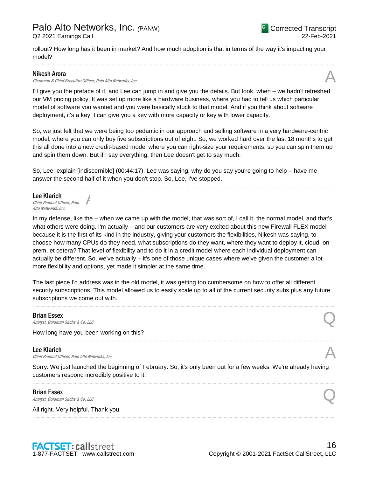rollout? How long has it been in market? And how much adoption is that in terms of the way it's impacting your model?

......................................................................................................................................................................................................................................................

### Nikesh Arora

Nikesh Arora<br>Chairman & Chief Executive Officer, Palo Alto Networks, Inc.

I'll give you the preface of it, and Lee can jump in and give you the details. But look, when – we hadn't refreshed our VM pricing policy. It was set up more like a hardware business, where you had to tell us which particular model of software you wanted and you were basically stuck to that model. And if you think about software deployment, it's a key. I can give you a key with more capacity or key with lower capacity.

So, we just felt that we were being too pedantic in our approach and selling software in a very hardware-centric model, where you can only buy five subscriptions out of eight. So, we worked hard over the last 18 months to get this all done into a new credit-based model where you can right-size your requirements, so you can spin them up and spin them down. But if I say everything, then Lee doesn't get to say much.

......................................................................................................................................................................................................................................................

So, Lee, explain [indiscernible] (00:44:17), Lee was saying, why do you say you're going to help – have me answer the second half of it when you don't stop. So, Lee, I've stopped.

Lee Klarich Chief Product Officer, Palo Alto Networks, Inc.

In my defense, like the – when we came up with the model, that was sort of, I call it, the normal model, and that's what others were doing. I'm actually – and our customers are very excited about this new Firewall FLEX model because it is the first of its kind in the industry, giving your customers the flexibilities, Nikesh was saying, to choose how many CPUs do they need, what subscriptions do they want, where they want to deploy it, cloud, onprem, et cetera? That level of flexibility and to do it in a credit model where each individual deployment can actually be different. So, we've actually – it's one of those unique cases where we've given the customer a lot more flexibility and options, yet made it simpler at the same time.

The last piece I'd address was in the old model, it was getting too cumbersome on how to offer all different security subscriptions. This model allowed us to easily scale up to all of the current security subs plus any future subscriptions we come out with.

......................................................................................................................................................................................................................................................

......................................................................................................................................................................................................................................................

# Brian Essex

**Brian Essex**<br>Analyst, Goldman Sachs & Co. LLC

How long have you been working on this?

A

#### Lee Klarich

**Lee Klarich**<br>Chief Product Officer, Palo Alto Networks, Inc.

Sorry. We just launched the beginning of February. So, it's only been out for a few weeks. We're already having customers respond incredibly positive to it.

......................................................................................................................................................................................................................................................

......................................................................................................................................................................................................................................................

#### Brian Essex

**Brian Essex**<br>Analyst, Goldman Sachs & Co. LLC

All right. Very helpful. Thank you.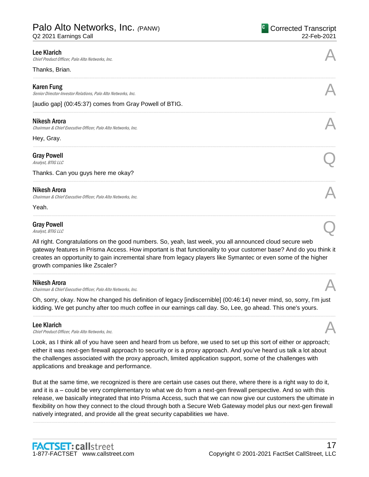Q2 2021 Earnings Call

| <b>Lee Klarich</b><br>Chief Product Officer, Palo Alto Networks, Inc.               |  |
|-------------------------------------------------------------------------------------|--|
| Thanks, Brian.                                                                      |  |
| <b>Karen Fung</b><br>Senior Director-Investor Relations, Palo Alto Networks, Inc.   |  |
| [audio gap] (00:45:37) comes from Gray Powell of BTIG.                              |  |
| <b>Nikesh Arora</b><br>Chairman & Chief Executive Officer, Palo Alto Networks, Inc. |  |
| Hey, Gray.                                                                          |  |
| <b>Gray Powell</b><br>Analyst, BTIG LLC                                             |  |
| Thanks. Can you guys here me okay?                                                  |  |
| <b>Nikesh Arora</b><br>Chairman & Chief Executive Officer, Palo Alto Networks, Inc. |  |
| Yeah.                                                                               |  |
| <b>Gray Powell</b><br>Analyst, BTIG LLC                                             |  |

All right. Congratulations on the good numbers. So, yeah, last week, you all announced cloud secure web gateway features in Prisma Access. How important is that functionality to your customer base? And do you think it creates an opportunity to gain incremental share from legacy players like Symantec or even some of the higher growth companies like Zscaler?

......................................................................................................................................................................................................................................................

#### Nikesh Arora

Nikesh Arora<br>Chairman & Chief Executive Officer, Palo Alto Networks, Inc.

Oh, sorry, okay. Now he changed his definition of legacy [indiscernible] (00:46:14) never mind, so, sorry, I'm just kidding. We get punchy after too much coffee in our earnings call day. So, Lee, go ahead. This one's yours.

......................................................................................................................................................................................................................................................

# Lee Klarich

**Lee Klarich**<br>Chief Product Officer, Palo Alto Networks, Inc.

Look, as I think all of you have seen and heard from us before, we used to set up this sort of either or approach; either it was next-gen firewall approach to security or is a proxy approach. And you've heard us talk a lot about the challenges associated with the proxy approach, limited application support, some of the challenges with applications and breakage and performance.

But at the same time, we recognized is there are certain use cases out there, where there is a right way to do it, and it is a – could be very complementary to what we do from a next-gen firewall perspective. And so with this release, we basically integrated that into Prisma Access, such that we can now give our customers the ultimate in flexibility on how they connect to the cloud through both a Secure Web Gateway model plus our next-gen firewall natively integrated, and provide all the great security capabilities we have.

......................................................................................................................................................................................................................................................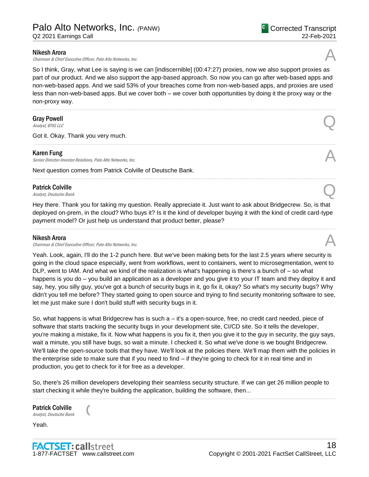Nikesh Arora

Chairman & Chief Executive Officer, Palo Alto Networks, Inc.

So I think, Gray, what Lee is saying is we can [indiscernible] (00:47:27) proxies, now we also support proxies as part of our product. And we also support the app-based approach. So now you can go after web-based apps and non-web-based apps. And we said 53% of your breaches come from non-web-based apps, and proxies are used less than non-web-based apps. But we cover both – we cover both opportunities by doing it the proxy way or the non-proxy way.

......................................................................................................................................................................................................................................................

......................................................................................................................................................................................................................................................

......................................................................................................................................................................................................................................................

# Gray Powell Gray Powell  $\bigodot$ <br>Analyst, BTIG LLC

Got it. Okay. Thank you very much.

## Karen Fung

Senior Director-Investor Relations, Palo Alto Networks, Inc.

Next question comes from Patrick Colville of Deutsche Bank.

# Patrick Colville Patrick Colville<br>Analyst, Deutsche Bank

Hey there. Thank you for taking my question. Really appreciate it. Just want to ask about Bridgecrew. So, is that deployed on-prem, in the cloud? Who buys it? Is it the kind of developer buying it with the kind of credit card-type payment model? Or just help us understand that product better, please?

......................................................................................................................................................................................................................................................

#### Nikesh Arora

Chairman & Chief Executive Officer, Palo Alto Networks, Inc.

Yeah. Look, again, I'll do the 1-2 punch here. But we've been making bets for the last 2.5 years where security is going in the cloud space especially, went from workflows, went to containers, went to microsegmentation, went to DLP, went to IAM. And what we kind of the realization is what's happening is there's a bunch of – so what happens is you do – you build an application as a developer and you give it to your IT team and they deploy it and say, hey, you silly guy, you've got a bunch of security bugs in it, go fix it, okay? So what's my security bugs? Why didn't you tell me before? They started going to open source and trying to find security monitoring software to see, let me just make sure I don't build stuff with security bugs in it.

So, what happens is what Bridgecrew has is such a – it's a open-source, free, no credit card needed, piece of software that starts tracking the security bugs in your development site, CI/CD site. So it tells the developer, you're making a mistake, fix it. Now what happens is you fix it, then you give it to the guy in security, the guy says, wait a minute, you still have bugs, so wait a minute. I checked it. So what we've done is we bought Bridgecrew. We'll take the open-source tools that they have. We'll look at the policies there. We'll map them with the policies in the enterprise side to make sure that if you need to find – if they're going to check for it in real time and in production, you get to check for it for free as a developer.

So, there's 26 million developers developing their seamless security structure. If we can get 26 million people to start checking it while they're building the application, building the software, then...

......................................................................................................................................................................................................................................................

Patrick Colville<br>
Analyst, Deutsche Bank

Yeah.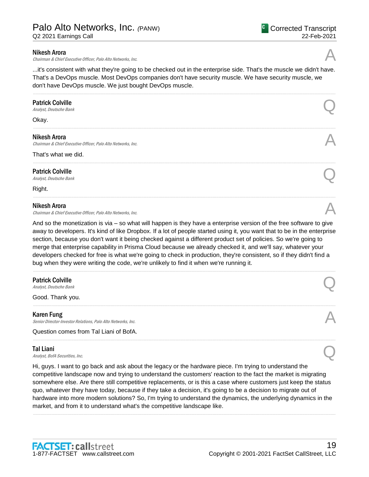# Palo Alto Networks, Inc. *(*PANW)

Q2 2021 Earnings Call

# Nikesh Arora

Chairman & Chief Executive Officer, Palo Alto Networks, Inc.

...it's consistent with what they're going to be checked out in the enterprise side. That's the muscle we didn't have. That's a DevOps muscle. Most DevOps companies don't have security muscle. We have security muscle, we don't have DevOps muscle. We just bought DevOps muscle.

......................................................................................................................................................................................................................................................

......................................................................................................................................................................................................................................................

......................................................................................................................................................................................................................................................

......................................................................................................................................................................................................................................................

# Patrick Colville Patrick Colville<br>Analyst, Deutsche Bank

Okay.

## Nikesh Arora

Chairman & Chief Executive Officer, Palo Alto Networks, Inc.

#### That's what we did.

Patrick Colville Patrick Colville<br>Analyst, Deutsche Bank

Right.

# Nikesh Arora

Chairman & Chief Executive Officer, Palo Alto Networks, Inc.

And so the monetization is via – so what will happen is they have a enterprise version of the free software to give away to developers. It's kind of like Dropbox. If a lot of people started using it, you want that to be in the enterprise section, because you don't want it being checked against a different product set of policies. So we're going to merge that enterprise capability in Prisma Cloud because we already checked it, and we'll say, whatever your developers checked for free is what we're going to check in production, they're consistent, so if they didn't find a bug when they were writing the code, we're unlikely to find it when we're running it.

......................................................................................................................................................................................................................................................

......................................................................................................................................................................................................................................................

......................................................................................................................................................................................................................................................

# Patrick Colville Patrick Colville<br>Analyst, Deutsche Bank

Good. Thank you.

#### Karen Fung Senior Director-Investor Relations, Palo Alto Networks, Inc.

Question comes from Tal Liani of BofA.

# Tal Liani

**Tal Liani**<br>Analyst, BofA Securities, Inc.  $\bigotimes$ 

Hi, guys. I want to go back and ask about the legacy or the hardware piece. I'm trying to understand the competitive landscape now and trying to understand the customers' reaction to the fact the market is migrating somewhere else. Are there still competitive replacements, or is this a case where customers just keep the status quo, whatever they have today, because if they take a decision, it's going to be a decision to migrate out of hardware into more modern solutions? So, I'm trying to understand the dynamics, the underlying dynamics in the market, and from it to understand what's the competitive landscape like.

......................................................................................................................................................................................................................................................

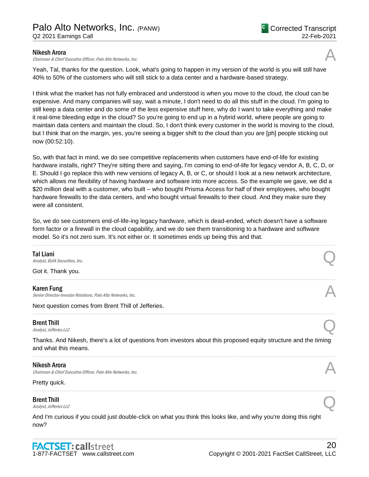# Nikesh Arora

Chairman & Chief Executive Officer, Palo Alto Networks, Inc.

Yeah, Tal, thanks for the question. Look, what's going to happen in my version of the world is you will still have 40% to 50% of the customers who will still stick to a data center and a hardware-based strategy.

I think what the market has not fully embraced and understood is when you move to the cloud, the cloud can be expensive. And many companies will say, wait a minute, I don't need to do all this stuff in the cloud. I'm going to still keep a data center and do some of the less expensive stuff here, why do I want to take everything and make it real-time bleeding edge in the cloud? So you're going to end up in a hybrid world, where people are going to maintain data centers and maintain the cloud. So, I don't think every customer in the world is moving to the cloud, but I think that on the margin, yes, you're seeing a bigger shift to the cloud than you are [ph] people sticking out now (00:52:10).

So, with that fact in mind, we do see competitive replacements when customers have end-of-life for existing hardware installs, right? They're sitting there and saying, I'm coming to end-of-life for legacy vendor A, B, C, D, or E. Should I go replace this with new versions of legacy A, B, or C, or should I look at a new network architecture, which allows me flexibility of having hardware and software into more access. So the example we gave, we did a \$20 million deal with a customer, who built – who bought Prisma Access for half of their employees, who bought hardware firewalls to the data centers, and who bought virtual firewalls to their cloud. And they make sure they were all consistent.

So, we do see customers end-of-life-ing legacy hardware, which is dead-ended, which doesn't have a software form factor or a firewall in the cloud capability, and we do see them transitioning to a hardware and software model. So it's not zero sum. It's not either or. It sometimes ends up being this and that.

| Tal Liani<br>Analyst, BofA Securities, Inc.                                                                                               |  |
|-------------------------------------------------------------------------------------------------------------------------------------------|--|
| Got it. Thank you.                                                                                                                        |  |
| <b>Karen Fung</b><br>Senior Director-Investor Relations, Palo Alto Networks, Inc.                                                         |  |
| Next question comes from Brent Thill of Jefferies.                                                                                        |  |
| <b>Brent Thill</b><br>Analyst, Jefferies LLC                                                                                              |  |
| Thanks. And Nikesh, there's a lot of questions from investors about this proposed equity structure and the timing<br>and what this means. |  |
| Nikesh Arora<br>Chairman & Chief Executive Officer, Palo Alto Networks, Inc.                                                              |  |
| Pretty quick.                                                                                                                             |  |
| <b>Brent Thill</b><br>Analyst, Jefferies LLC                                                                                              |  |
| And I'm curious if you could just double-click on what you think this looks like, and why you're doing this right<br>now?                 |  |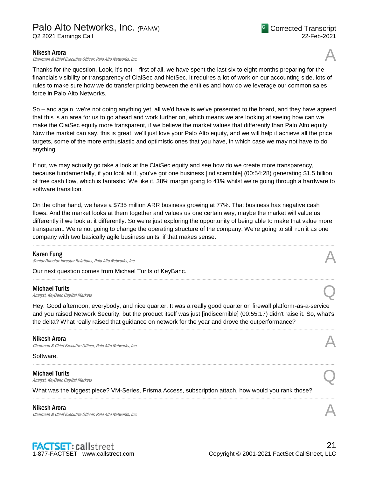## Nikesh Arora

Chairman & Chief Executive Officer, Palo Alto Networks, Inc.

Thanks for the question. Look, it's not – first of all, we have spent the last six to eight months preparing for the financials visibility or transparency of ClaiSec and NetSec. It requires a lot of work on our accounting side, lots of rules to make sure how we do transfer pricing between the entities and how do we leverage our common sales force in Palo Alto Networks.

So – and again, we're not doing anything yet, all we'd have is we've presented to the board, and they have agreed that this is an area for us to go ahead and work further on, which means we are looking at seeing how can we make the ClaiSec equity more transparent, if we believe the market values that differently than Palo Alto equity. Now the market can say, this is great, we'll just love your Palo Alto equity, and we will help it achieve all the price targets, some of the more enthusiastic and optimistic ones that you have, in which case we may not have to do anything.

If not, we may actually go take a look at the ClaiSec equity and see how do we create more transparency, because fundamentally, if you look at it, you've got one business [indiscernible] (00:54:28) generating \$1.5 billion of free cash flow, which is fantastic. We like it, 38% margin going to 41% whilst we're going through a hardware to software transition.

On the other hand, we have a \$735 million ARR business growing at 77%. That business has negative cash flows. And the market looks at them together and values us one certain way, maybe the market will value us differently if we look at it differently. So we're just exploring the opportunity of being able to make that value more transparent. We're not going to change the operating structure of the company. We're going to still run it as one company with two basically agile business units, if that makes sense.

......................................................................................................................................................................................................................................................

......................................................................................................................................................................................................................................................

# Karen Fung

Senior Director-Investor Relations, Palo Alto Networks, Inc.

Our next question comes from Michael Turits of KeyBanc.

#### Michael Turits

**Michael Turits**<br>Analyst, KeyBanc Capital Markets  $\bigodot$ 

Hey. Good afternoon, everybody, and nice quarter. It was a really good quarter on firewall platform-as-a-service and you raised Network Security, but the product itself was just [indiscernible] (00:55:17) didn't raise it. So, what's the delta? What really raised that guidance on network for the year and drove the outperformance?

......................................................................................................................................................................................................................................................

......................................................................................................................................................................................................................................................

......................................................................................................................................................................................................................................................

# Nikesh Arora

Chairman & Chief Executive Officer, Palo Alto Networks, Inc.

Software.

# Michael Turits **Michael Turits**<br>Analyst, KeyBanc Capital Markets  $\bigodot$

What was the biggest piece? VM-Series, Prisma Access, subscription attach, how would you rank those?

# Nikesh Arora

**Nikesh Arora**<br>Chairman & Chief Executive Officer, Palo Alto Networks, Inc. And the comparation of the chairman & Chief Executive Officer, Palo Alto Networks, Inc.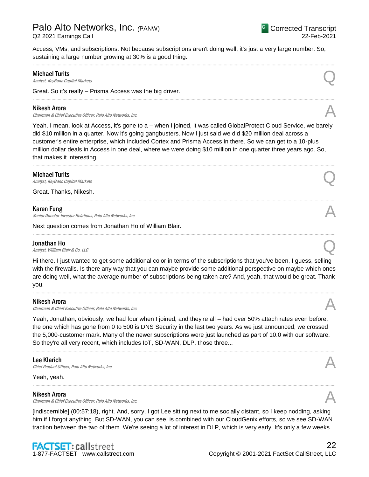Access, VMs, and subscriptions. Not because subscriptions aren't doing well, it's just a very large number. So, sustaining a large number growing at 30% is a good thing.

......................................................................................................................................................................................................................................................

......................................................................................................................................................................................................................................................

# Michael Turits

**Michael Turits**<br>Analyst, KeyBanc Capital Markets  $\bigodot$ 

Great. So it's really – Prisma Access was the big driver.

## Nikesh Arora

Chairman & Chief Executive Officer, Palo Alto Networks, Inc.

Yeah. I mean, look at Access, it's gone to a – when I joined, it was called GlobalProtect Cloud Service, we barely did \$10 million in a quarter. Now it's going gangbusters. Now I just said we did \$20 million deal across a customer's entire enterprise, which included Cortex and Prisma Access in there. So we can get to a 10-plus million dollar deals in Access in one deal, where we were doing \$10 million in one quarter three years ago. So, that makes it interesting.

......................................................................................................................................................................................................................................................

......................................................................................................................................................................................................................................................

# Michael Turits

**Michael Turits**<br>Analyst, KeyBanc Capital Markets  $\bigodot$ 

Great. Thanks, Nikesh.

# Karen Fung

**Karen Fung**<br>Senior Director-Investor Relations, Palo Alto Networks, Inc.

Next question comes from Jonathan Ho of William Blair.

# Jonathan Ho

**Jonathan Ho**<br>Analyst, William Blair & Co. LLC

Hi there. I just wanted to get some additional color in terms of the subscriptions that you've been, I guess, selling with the firewalls. Is there any way that you can maybe provide some additional perspective on maybe which ones are doing well, what the average number of subscriptions being taken are? And, yeah, that would be great. Thank you.

......................................................................................................................................................................................................................................................

# Nikesh Arora

Chairman & Chief Executive Officer, Palo Alto Networks, Inc.

Yeah, Jonathan, obviously, we had four when I joined, and they're all – had over 50% attach rates even before, the one which has gone from 0 to 500 is DNS Security in the last two years. As we just announced, we crossed the 5,000-customer mark. Many of the newer subscriptions were just launched as part of 10.0 with our software. So they're all very recent, which includes IoT, SD-WAN, DLP, those three...

......................................................................................................................................................................................................................................................

......................................................................................................................................................................................................................................................

# Lee Klarich

**Lee Klarich**<br>Chief Product Officer, Palo Alto Networks, Inc.

Yeah, yeah.

#### Nikesh Arora

Chairman & Chief Executive Officer, Palo Alto Networks, Inc.

[indiscernible] (00:57:18), right. And, sorry, I got Lee sitting next to me socially distant, so I keep nodding, asking him if I forgot anything. But SD-WAN, you can see, is combined with our CloudGenix efforts, so we see SD-WAN traction between the two of them. We're seeing a lot of interest in DLP, which is very early. It's only a few weeks

......................................................................................................................................................................................................................................................





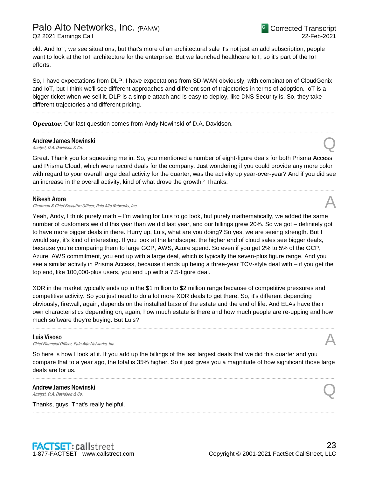old. And IoT, we see situations, but that's more of an architectural sale it's not just an add subscription, people want to look at the IoT architecture for the enterprise. But we launched healthcare IoT, so it's part of the IoT efforts.

So, I have expectations from DLP, I have expectations from SD-WAN obviously, with combination of CloudGenix and IoT, but I think we'll see different approaches and different sort of trajectories in terms of adoption. IoT is a bigger ticket when we sell it. DLP is a simple attach and is easy to deploy, like DNS Security is. So, they take different trajectories and different pricing.

......................................................................................................................................................................................................................................................

......................................................................................................................................................................................................................................................

**Operator**: Our last question comes from Andy Nowinski of D.A. Davidson.

# Andrew James Nowinski Andrew James Nowinski<br>Analyst, D.A. Davidson & Co.

Great. Thank you for squeezing me in. So, you mentioned a number of eight-figure deals for both Prisma Access and Prisma Cloud, which were record deals for the company. Just wondering if you could provide any more color with regard to your overall large deal activity for the quarter, was the activity up year-over-year? And if you did see an increase in the overall activity, kind of what drove the growth? Thanks.

......................................................................................................................................................................................................................................................

#### Nikesh Arora

Chairman & Chief Executive Officer, Palo Alto Networks, Inc.

Yeah, Andy, I think purely math – I'm waiting for Luis to go look, but purely mathematically, we added the same number of customers we did this year than we did last year, and our billings grew 20%. So we got – definitely got to have more bigger deals in there. Hurry up, Luis, what are you doing? So yes, we are seeing strength. But I would say, it's kind of interesting. If you look at the landscape, the higher end of cloud sales see bigger deals, because you're comparing them to large GCP, AWS, Azure spend. So even if you get 2% to 5% of the GCP, Azure, AWS commitment, you end up with a large deal, which is typically the seven-plus figure range. And you see a similar activity in Prisma Access, because it ends up being a three-year TCV-style deal with – if you get the top end, like 100,000-plus users, you end up with a 7.5-figure deal.

XDR in the market typically ends up in the \$1 million to \$2 million range because of competitive pressures and competitive activity. So you just need to do a lot more XDR deals to get there. So, it's different depending obviously, firewall, again, depends on the installed base of the estate and the end of life. And ELAs have their own characteristics depending on, again, how much estate is there and how much people are re-upping and how much software they're buying. But Luis?

......................................................................................................................................................................................................................................................

**Luis Visoso**<br>Chief Financial Officer, Palo Alto Networks, Inc. **Luis Visoso**<br>Chief Financial Officer, Palo Alto Networks, Inc.  $\mathcal{A}$ 

So here is how I look at it. If you add up the billings of the last largest deals that we did this quarter and you compare that to a year ago, the total is 35% higher. So it just gives you a magnitude of how significant those large deals are for us.

......................................................................................................................................................................................................................................................

......................................................................................................................................................................................................................................................

# Andrew James Nowinski Andrew James Nowinski<br>Analyst, D.A. Davidson & Co.

Thanks, guys. That's really helpful.